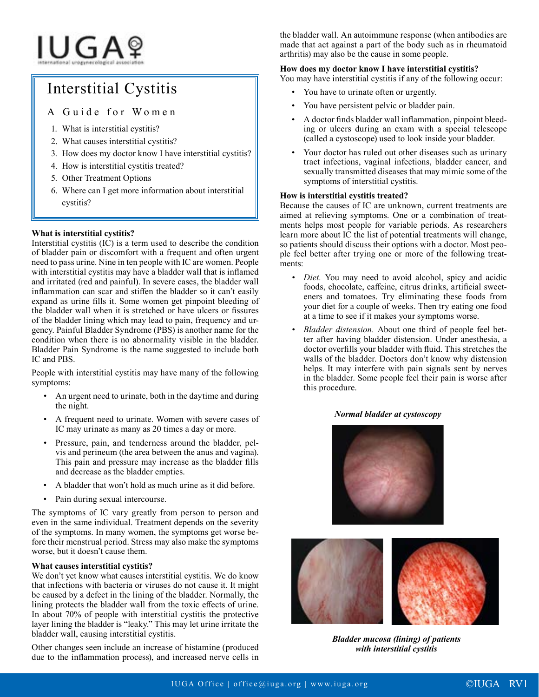# IUGAº

## Interstitial Cystitis

### A Guide for Women

- 1. What is interstitial cystitis?
- 2. What causes interstitial cystitis?
- 3. How does my doctor know I have interstitial cystitis?
- 4. How is interstitial cystitis treated?
- 5. Other Treatment Options
- 6. Where can I get more information about interstitial cystitis?

#### **What is interstitial cystitis?**

Interstitial cystitis (IC) is a term used to describe the condition of bladder pain or discomfort with a frequent and often urgent need to pass urine. Nine in ten people with IC are women. People with interstitial cystitis may have a bladder wall that is inflamed and irritated (red and painful). In severe cases, the bladder wall inflammation can scar and stiffen the bladder so it can't easily expand as urine fills it. Some women get pinpoint bleeding of the bladder wall when it is stretched or have ulcers or fissures of the bladder lining which may lead to pain, frequency and urgency. Painful Bladder Syndrome (PBS) is another name for the condition when there is no abnormality visible in the bladder. Bladder Pain Syndrome is the name suggested to include both IC and PBS.

People with interstitial cystitis may have many of the following symptoms:

- An urgent need to urinate, both in the daytime and during the night.
- A frequent need to urinate. Women with severe cases of IC may urinate as many as 20 times a day or more.
- Pressure, pain, and tenderness around the bladder, pelvis and perineum (the area between the anus and vagina). This pain and pressure may increase as the bladder fills and decrease as the bladder empties.
- A bladder that won't hold as much urine as it did before.
- Pain during sexual intercourse.

The symptoms of IC vary greatly from person to person and even in the same individual. Treatment depends on the severity of the symptoms. In many women, the symptoms get worse before their menstrual period. Stress may also make the symptoms worse, but it doesn't cause them.

#### **What causes interstitial cystitis?**

We don't yet know what causes interstitial cystitis. We do know that infections with bacteria or viruses do not cause it. It might be caused by a defect in the lining of the bladder. Normally, the lining protects the bladder wall from the toxic effects of urine. In about 70% of people with interstitial cystitis the protective layer lining the bladder is "leaky." This may let urine irritate the bladder wall, causing interstitial cystitis.

Other changes seen include an increase of histamine (produced due to the inflammation process), and increased nerve cells in

the bladder wall. An autoimmune response (when antibodies are made that act against a part of the body such as in rheumatoid arthritis) may also be the cause in some people.

#### **How does my doctor know I have interstitial cystitis?**

You may have interstitial cystitis if any of the following occur:

- You have to urinate often or urgently.
- You have persistent pelvic or bladder pain.
- A doctor finds bladder wall inflammation, pinpoint bleeding or ulcers during an exam with a special telescope (called a cystoscope) used to look inside your bladder.
- Your doctor has ruled out other diseases such as urinary tract infections, vaginal infections, bladder cancer, and sexually transmitted diseases that may mimic some of the symptoms of interstitial cystitis.

#### **How is interstitial cystitis treated?**

Because the causes of IC are unknown, current treatments are aimed at relieving symptoms. One or a combination of treatments helps most people for variable periods. As researchers learn more about IC the list of potential treatments will change, so patients should discuss their options with a doctor. Most people feel better after trying one or more of the following treatments:

- *• Diet.* You may need to avoid alcohol, spicy and acidic foods, chocolate, caffeine, citrus drinks, artificial sweeteners and tomatoes. Try eliminating these foods from your diet for a couple of weeks. Then try eating one food at a time to see if it makes your symptoms worse.
- *• Bladder distension.* About one third of people feel better after having bladder distension. Under anesthesia, a doctor overfills your bladder with fluid. This stretches the walls of the bladder. Doctors don't know why distension helps. It may interfere with pain signals sent by nerves in the bladder. Some people feel their pain is worse after this procedure.

#### *Normal bladder at cystoscopy*





*Bladder mucosa (lining) of patients with interstitial cystitis*